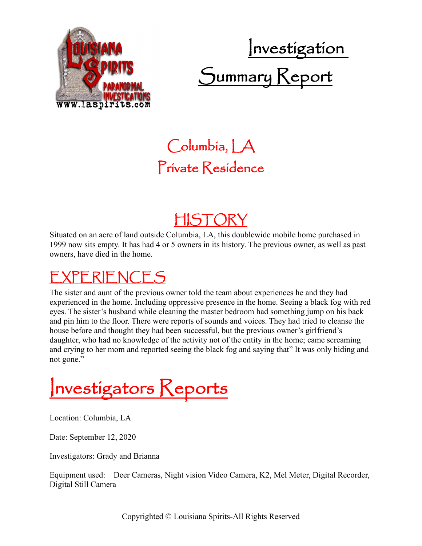

# Investigation Summary Keport

### Columbia, LA Private Residence

#### HISTORY

Situated on an acre of land outside Columbia, LA, this doublewide mobile home purchased in 1999 now sits empty. It has had 4 or 5 owners in its history. The previous owner, as well as past owners, have died in the home.

## EXPERIENCES

The sister and aunt of the previous owner told the team about experiences he and they had experienced in the home. Including oppressive presence in the home. Seeing a black fog with red eyes. The sister's husband while cleaning the master bedroom had something jump on his back and pin him to the floor. There were reports of sounds and voices. They had tried to cleanse the house before and thought they had been successful, but the previous owner's girlfriend's daughter, who had no knowledge of the activity not of the entity in the home; came screaming and crying to her mom and reported seeing the black fog and saying that" It was only hiding and not gone."

Investigators Reports

Location: Columbia, LA

Date: September 12, 2020

Investigators: Grady and Brianna

Equipment used: Deer Cameras, Night vision Video Camera, K2, Mel Meter, Digital Recorder, Digital Still Camera